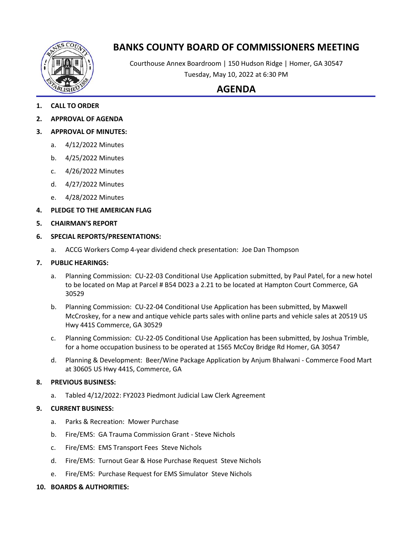

# **BANKS COUNTY BOARD OF COMMISSIONERS MEETING**

Courthouse Annex Boardroom | 150 Hudson Ridge | Homer, GA 30547 Tuesday, May 10, 2022 at 6:30 PM

## **AGENDA**

- **1. CALL TO ORDER**
- **2. APPROVAL OF AGENDA**
- **3. APPROVAL OF MINUTES:**
	- a. 4/12/2022 Minutes
	- b. 4/25/2022 Minutes
	- c. 4/26/2022 Minutes
	- d. 4/27/2022 Minutes
	- e. 4/28/2022 Minutes
- **4. PLEDGE TO THE AMERICAN FLAG**
- **5. CHAIRMAN'S REPORT**
- **6. SPECIAL REPORTS/PRESENTATIONS:**
	- a. ACCG Workers Comp 4-year dividend check presentation: Joe Dan Thompson

#### **7. PUBLIC HEARINGS:**

- a. Planning Commission: CU-22-03 Conditional Use Application submitted, by Paul Patel, for a new hotel to be located on Map at Parcel # B54 D023 a 2.21 to be located at Hampton Court Commerce, GA 30529
- b. Planning Commission: CU-22-04 Conditional Use Application has been submitted, by Maxwell McCroskey, for a new and antique vehicle parts sales with online parts and vehicle sales at 20519 US Hwy 441S Commerce, GA 30529
- c. Planning Commission: CU-22-05 Conditional Use Application has been submitted, by Joshua Trimble, for a home occupation business to be operated at 1565 McCoy Bridge Rd Homer, GA 30547
- d. Planning & Development: Beer/Wine Package Application by Anjum Bhalwani Commerce Food Mart at 30605 US Hwy 441S, Commerce, GA

#### **8. PREVIOUS BUSINESS:**

a. Tabled 4/12/2022: FY2023 Piedmont Judicial Law Clerk Agreement

#### **9. CURRENT BUSINESS:**

- a. Parks & Recreation: Mower Purchase
- b. Fire/EMS: GA Trauma Commission Grant Steve Nichols
- c. Fire/EMS: EMS Transport Fees Steve Nichols
- d. Fire/EMS: Turnout Gear & Hose Purchase Request Steve Nichols
- e. Fire/EMS: Purchase Request for EMS Simulator Steve Nichols

### **10. BOARDS & AUTHORITIES:**